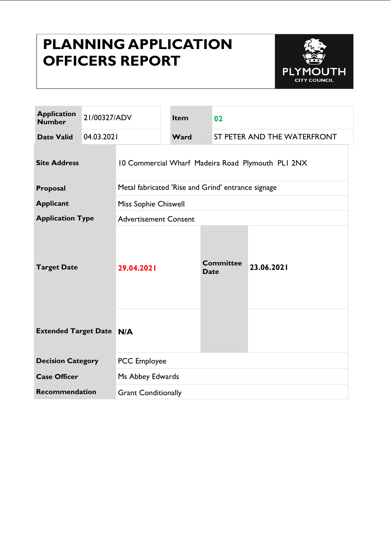# **PLANNING APPLICATION OFFICERS REPORT**



| <b>Application</b><br><b>Number</b> | 21/00327/ADV |                                                    | <b>Item</b> | 02                              |                             |  |
|-------------------------------------|--------------|----------------------------------------------------|-------------|---------------------------------|-----------------------------|--|
| <b>Date Valid</b>                   | 04.03.2021   |                                                    | Ward        |                                 | ST PETER AND THE WATERFRONT |  |
| <b>Site Address</b>                 |              | 10 Commercial Wharf Madeira Road Plymouth PLI 2NX  |             |                                 |                             |  |
| Proposal                            |              | Metal fabricated 'Rise and Grind' entrance signage |             |                                 |                             |  |
| <b>Applicant</b>                    |              | Miss Sophie Chiswell                               |             |                                 |                             |  |
| <b>Application Type</b>             |              | <b>Advertisement Consent</b>                       |             |                                 |                             |  |
| <b>Target Date</b>                  |              | 29.04.2021                                         |             | <b>Committee</b><br><b>Date</b> | 23.06.2021                  |  |
| <b>Extended Target Date N/A</b>     |              |                                                    |             |                                 |                             |  |
| <b>Decision Category</b>            |              | <b>PCC</b> Employee                                |             |                                 |                             |  |
| <b>Case Officer</b>                 |              | Ms Abbey Edwards                                   |             |                                 |                             |  |
| <b>Recommendation</b>               |              | <b>Grant Conditionally</b>                         |             |                                 |                             |  |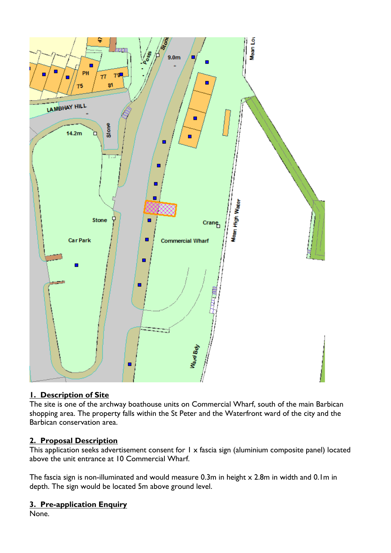

## **1. Description of Site**

The site is one of the archway boathouse units on Commercial Wharf, south of the main Barbican shopping area. The property falls within the St Peter and the Waterfront ward of the city and the Barbican conservation area.

## **2. Proposal Description**

This application seeks advertisement consent for 1 x fascia sign (aluminium composite panel) located above the unit entrance at 10 Commercial Wharf.

The fascia sign is non-illuminated and would measure 0.3m in height x 2.8m in width and 0.1m in depth. The sign would be located 5m above ground level.

# **3. Pre-application Enquiry**

None.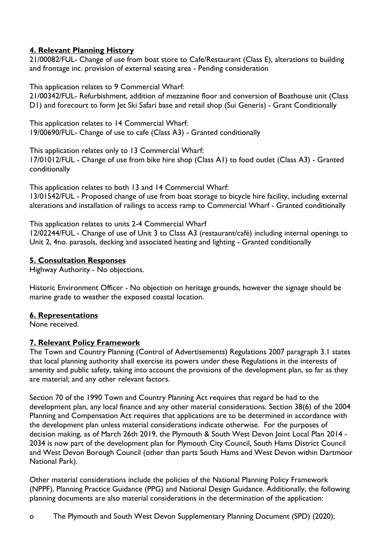## **4. Relevant Planning History**

21/00082/FUL- Change of use from boat store to Cafe/Restaurant (Class E), alterations to building and frontage inc. provision of external seating area - Pending consideration

This application relates to 9 Commercial Wharf:

21/00342/FUL- Refurbishment, addition of mezzanine floor and conversion of Boathouse unit (Class D1) and forecourt to form Jet Ski Safari base and retail shop (Sui Generis) - Grant Conditionally

This application relates to 14 Commercial Wharf: 19/00690/FUL- Change of use to cafe (Class A3) - Granted conditionally

This application relates only to 13 Commercial Wharf: 17/01012/FUL - Change of use from bike hire shop (Class A1) to food outlet (Class A3) - Granted conditionally

This application relates to both 13 and 14 Commercial Wharf: 13/01542/FUL - Proposed change of use from boat storage to bicycle hire facility, including external alterations and installation of railings to access ramp to Commercial Wharf - Granted conditionally

This application relates to units 2-4 Commercial Wharf

12/02244/FUL - Change of use of Unit 3 to Class A3 (restaurant/café) including internal openings to Unit 2, 4no. parasols, decking and associated heating and lighting - Granted conditionally

## **5. Consultation Responses**

Highway Authority - No objections.

Historic Environment Officer - No objection on heritage grounds, however the signage should be marine grade to weather the exposed coastal location.

## **6. Representations**

None received.

## **7. Relevant Policy Framework**

The Town and Country Planning (Control of Advertisements) Regulations 2007 paragraph 3.1 states that local planning authority shall exercise its powers under these Regulations in the interests of amenity and public safety, taking into account the provisions of the development plan, so far as they are material; and any other relevant factors.

Section 70 of the 1990 Town and Country Planning Act requires that regard be had to the development plan, any local finance and any other material considerations. Section 38(6) of the 2004 Planning and Compensation Act requires that applications are to be determined in accordance with the development plan unless material considerations indicate otherwise. For the purposes of decision making, as of March 26th 2019, the Plymouth & South West Devon Joint Local Plan 2014 - 2034 is now part of the development plan for Plymouth City Council, South Hams District Council and West Devon Borough Council (other than parts South Hams and West Devon within Dartmoor National Park).

Other material considerations include the policies of the National Planning Policy Framework (NPPF), Planning Practice Guidance (PPG) and National Design Guidance. Additionally, the following planning documents are also material considerations in the determination of the application:

o The Plymouth and South West Devon Supplementary Planning Document (SPD) (2020);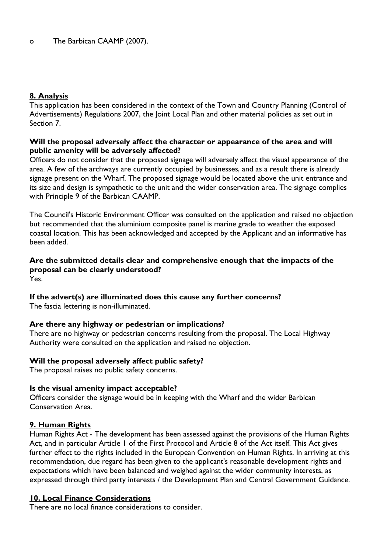## **8. Analysis**

This application has been considered in the context of the Town and Country Planning (Control of Advertisements) Regulations 2007, the Joint Local Plan and other material policies as set out in Section 7.

#### **Will the proposal adversely affect the character or appearance of the area and will public amenity will be adversely affected?**

Officers do not consider that the proposed signage will adversely affect the visual appearance of the area. A few of the archways are currently occupied by businesses, and as a result there is already signage present on the Wharf. The proposed signage would be located above the unit entrance and its size and design is sympathetic to the unit and the wider conservation area. The signage complies with Principle 9 of the Barbican CAAMP.

The Council's Historic Environment Officer was consulted on the application and raised no objection but recommended that the aluminium composite panel is marine grade to weather the exposed coastal location. This has been acknowledged and accepted by the Applicant and an informative has been added.

#### **Are the submitted details clear and comprehensive enough that the impacts of the proposal can be clearly understood?** Yes.

## **If the advert(s) are illuminated does this cause any further concerns?**

The fascia lettering is non-illuminated.

## **Are there any highway or pedestrian or implications?**

There are no highway or pedestrian concerns resulting from the proposal. The Local Highway Authority were consulted on the application and raised no objection.

## **Will the proposal adversely affect public safety?**

The proposal raises no public safety concerns.

## **Is the visual amenity impact acceptable?**

Officers consider the signage would be in keeping with the Wharf and the wider Barbican Conservation Area.

## **9. Human Rights**

Human Rights Act - The development has been assessed against the provisions of the Human Rights Act, and in particular Article 1 of the First Protocol and Article 8 of the Act itself. This Act gives further effect to the rights included in the European Convention on Human Rights. In arriving at this recommendation, due regard has been given to the applicant's reasonable development rights and expectations which have been balanced and weighed against the wider community interests, as expressed through third party interests / the Development Plan and Central Government Guidance.

## **10. Local Finance Considerations**

There are no local finance considerations to consider.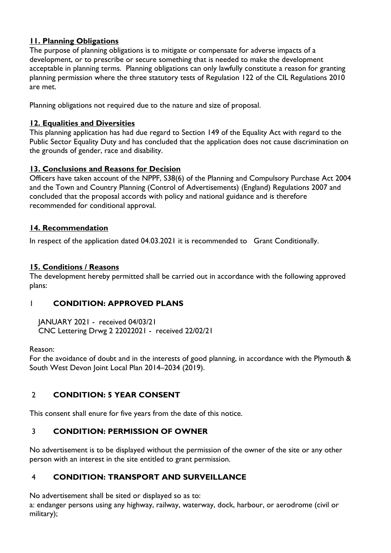## **11. Planning Obligations**

The purpose of planning obligations is to mitigate or compensate for adverse impacts of a development, or to prescribe or secure something that is needed to make the development acceptable in planning terms. Planning obligations can only lawfully constitute a reason for granting planning permission where the three statutory tests of Regulation 122 of the CIL Regulations 2010 are met.

Planning obligations not required due to the nature and size of proposal.

## **12. Equalities and Diversities**

This planning application has had due regard to Section 149 of the Equality Act with regard to the Public Sector Equality Duty and has concluded that the application does not cause discrimination on the grounds of gender, race and disability.

## **13. Conclusions and Reasons for Decision**

Officers have taken account of the NPPF, S38(6) of the Planning and Compulsory Purchase Act 2004 and the Town and Country Planning (Control of Advertisements) (England) Regulations 2007 and concluded that the proposal accords with policy and national guidance and is therefore recommended for conditional approval.

## **14. Recommendation**

In respect of the application dated 04.03.2021 it is recommended to Grant Conditionally.

## **15. Conditions / Reasons**

The development hereby permitted shall be carried out in accordance with the following approved plans:

## 1 **CONDITION: APPROVED PLANS**

 JANUARY 2021 - received 04/03/21 CNC Lettering Drwg 2 22022021 - received 22/02/21

Reason:

For the avoidance of doubt and in the interests of good planning, in accordance with the Plymouth & South West Devon Joint Local Plan 2014–2034 (2019).

## 2 **CONDITION: 5 YEAR CONSENT**

This consent shall enure for five years from the date of this notice.

## 3 **CONDITION: PERMISSION OF OWNER**

No advertisement is to be displayed without the permission of the owner of the site or any other person with an interest in the site entitled to grant permission.

## 4 **CONDITION: TRANSPORT AND SURVEILLANCE**

No advertisement shall be sited or displayed so as to:

a: endanger persons using any highway, railway, waterway, dock, harbour, or aerodrome (civil or military);